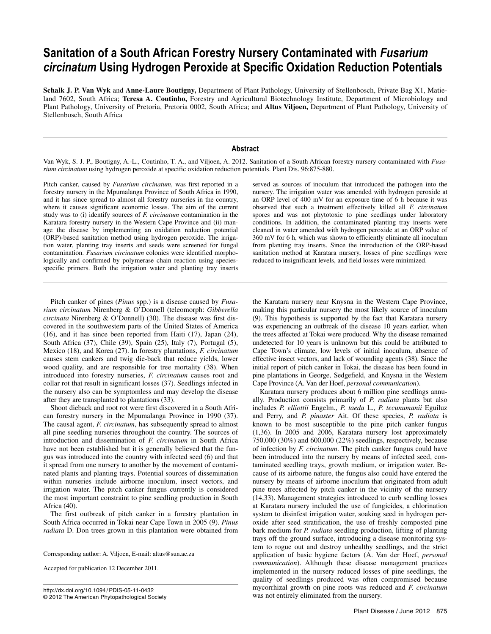# **Sanitation of a South African Forestry Nursery Contaminated with** *Fusarium circinatum* **Using Hydrogen Peroxide at Specific Oxidation Reduction Potentials**

**Schalk J. P. Van Wyk** and **Anne-Laure Boutigny,** Department of Plant Pathology, University of Stellenbosch, Private Bag X1, Matieland 7602, South Africa; **Teresa A. Coutinho,** Forestry and Agricultural Biotechnology Institute, Department of Microbiology and Plant Pathology, University of Pretoria, Pretoria 0002, South Africa; and **Altus Viljoen,** Department of Plant Pathology, University of Stellenbosch, South Africa

## **Abstract**

Van Wyk, S. J. P., Boutigny, A.-L., Coutinho, T. A., and Viljoen, A. 2012. Sanitation of a South African forestry nursery contaminated with *Fusarium circinatum* using hydrogen peroxide at specific oxidation reduction potentials. Plant Dis. 96:875-880.

Pitch canker, caused by *Fusarium circinatum*, was first reported in a forestry nursery in the Mpumalanga Province of South Africa in 1990, and it has since spread to almost all forestry nurseries in the country, where it causes significant economic losses. The aim of the current study was to (i) identify sources of *F. circinatum* contamination in the Karatara forestry nursery in the Western Cape Province and (ii) manage the disease by implementing an oxidation reduction potential (ORP)-based sanitation method using hydrogen peroxide. The irrigation water, planting tray inserts and seeds were screened for fungal contamination. *Fusarium circinatum* colonies were identified morphologically and confirmed by polymerase chain reaction using speciesspecific primers. Both the irrigation water and planting tray inserts

Pitch canker of pines (*Pinus* spp.) is a disease caused by *Fusarium circinatum* Nirenberg & O'Donnell (teleomorph: *Gibberella circinata* Nirenberg & O'Donnell) (30). The disease was first discovered in the southwestern parts of the United States of America (16), and it has since been reported from Haiti (17), Japan (24), South Africa (37), Chile (39), Spain (25), Italy (7), Portugal (5), Mexico (18), and Korea (27). In forestry plantations, *F. circinatum* causes stem cankers and twig die-back that reduce yields, lower wood quality, and are responsible for tree mortality (38). When introduced into forestry nurseries, *F. circinatum* causes root and collar rot that result in significant losses (37). Seedlings infected in the nursery also can be symptomless and may develop the disease after they are transplanted to plantations (33).

Shoot dieback and root rot were first discovered in a South African forestry nursery in the Mpumalanga Province in 1990 (37). The causal agent, *F. circinatum*, has subsequently spread to almost all pine seedling nurseries throughout the country. The sources of introduction and dissemination of *F. circinatum* in South Africa have not been established but it is generally believed that the fungus was introduced into the country with infected seed (6) and that it spread from one nursery to another by the movement of contaminated plants and planting trays. Potential sources of dissemination within nurseries include airborne inoculum, insect vectors, and irrigation water. The pitch canker fungus currently is considered the most important constraint to pine seedling production in South Africa (40).

The first outbreak of pitch canker in a forestry plantation in South Africa occurred in Tokai near Cape Town in 2005 (9). *Pinus radiata* D. Don trees grown in this plantation were obtained from

Corresponding author: A. Viljoen, E-mail: altus@sun.ac.za

Accepted for publication 12 December 2011.

http://dx.doi.org/10.1094/ PDIS-05-11-0432 © 2012 The American Phytopathological Society served as sources of inoculum that introduced the pathogen into the nursery. The irrigation water was amended with hydrogen peroxide at an ORP level of 400 mV for an exposure time of 6 h because it was observed that such a treatment effectively killed all *F. circinatum* spores and was not phytotoxic to pine seedlings under laboratory conditions. In addition, the contaminated planting tray inserts were cleaned in water amended with hydrogen peroxide at an ORP value of 360 mV for 6 h, which was shown to efficiently eliminate all inoculum from planting tray inserts. Since the introduction of the ORP-based sanitation method at Karatara nursery, losses of pine seedlings were reduced to insignificant levels, and field losses were minimized.

the Karatara nursery near Knysna in the Western Cape Province, making this particular nursery the most likely source of inoculum (9). This hypothesis is supported by the fact that Karatara nursery was experiencing an outbreak of the disease 10 years earlier, when the trees affected at Tokai were produced. Why the disease remained undetected for 10 years is unknown but this could be attributed to Cape Town's climate, low levels of initial inoculum, absence of effective insect vectors, and lack of wounding agents (38). Since the initial report of pitch canker in Tokai, the disease has been found in pine plantations in George, Sedgefield, and Knysna in the Western Cape Province (A. Van der Hoef, *personal communication*).

Karatara nursery produces about 6 million pine seedlings annually. Production consists primarily of *P. radiata* plants but also includes *P. elliottii* Engelm., *P. taeda* L., *P. tecunumanii* Eguiluz and Perry, and *P. pinaster* Ait. Of these species, *P. radiata* is known to be most susceptible to the pine pitch canker fungus (1,36). In 2005 and 2006, Karatara nursery lost approximately 750,000 (30%) and 600,000 (22%) seedlings, respectively, because of infection by *F. circinatum*. The pitch canker fungus could have been introduced into the nursery by means of infected seed, contaminated seedling trays, growth medium, or irrigation water. Because of its airborne nature, the fungus also could have entered the nursery by means of airborne inoculum that originated from adult pine trees affected by pitch canker in the vicinity of the nursery (14,33). Management strategies introduced to curb seedling losses at Karatara nursery included the use of fungicides, a chlorination system to disinfest irrigation water, soaking seed in hydrogen peroxide after seed stratification, the use of freshly composted pine bark medium for *P. radiata* seedling production, lifting of planting trays off the ground surface, introducing a disease monitoring system to rogue out and destroy unhealthy seedlings, and the strict application of basic hygiene factors (A. Van der Hoef, *personal communication*). Although these disease management practices implemented in the nursery reduced losses of pine seedlings, the quality of seedlings produced was often compromised because mycorrhizal growth on pine roots was reduced and *F. circinatum* was not entirely eliminated from the nursery.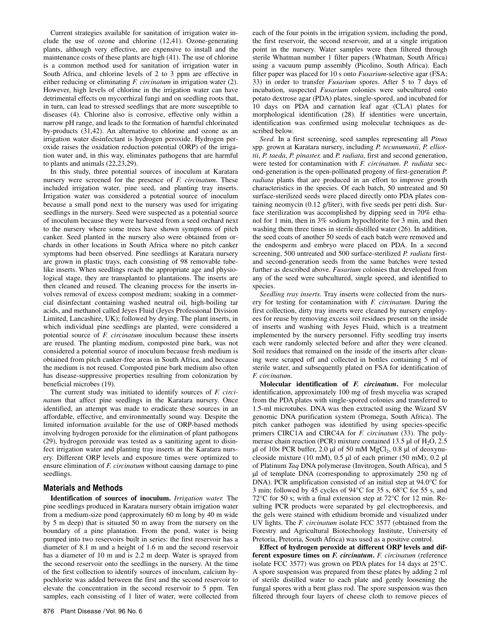Current strategies available for sanitation of irrigation water include the use of ozone and chlorine (12,41). Ozone-generating plants, although very effective, are expensive to install and the maintenance costs of these plants are high (41). The use of chlorine is a common method used for sanitation of irrigation water in South Africa, and chlorine levels of 2 to 3 ppm are effective in either reducing or eliminating *F. circinatum* in irrigation water (2). However, high levels of chlorine in the irrigation water can have detrimental effects on mycorrhizal fungi and on seedling roots that, in turn, can lead to stressed seedlings that are more susceptible to diseases (4). Chlorine also is corrosive, effective only within a narrow pH range, and leads to the formation of harmful chlorinated by-products (31,42). An alternative to chlorine and ozone as an irrigation water disinfectant is hydrogen peroxide. Hydrogen peroxide raises the oxidation reduction potential (ORP) of the irrigation water and, in this way, eliminates pathogens that are harmful to plants and animals (22,23,29).

In this study, three potential sources of inoculum at Karatara nursery were screened for the presence of *F. circinatum*. These included irrigation water, pine seed, and planting tray inserts. Irrigation water was considered a potential source of inoculum because a small pond next to the nursery was used for irrigating seedlings in the nursery. Seed were suspected as a potential source of inoculum because they were harvested from a seed orchard next to the nursery where some trees have shown symptoms of pitch canker. Seed planted in the nursery also were obtained from orchards in other locations in South Africa where no pitch canker symptoms had been observed. Pine seedlings at Karatara nursery are grown in plastic trays, each consisting of 98 removable tubelike inserts. When seedlings reach the appropriate age and physiological stage, they are transplanted to plantations. The inserts are then cleaned and reused. The cleaning process for the inserts involves removal of excess compost medium; soaking in a commercial disinfectant containing washed neutral oil, high-boiling tar acids, and methanol called Jeyes Fluid (Jeyes Professional Division Limited, Lancashire, UK); followed by drying. The plant inserts, in which individual pine seedlings are planted, were considered a potential source of *F. circinatum* inoculum because these inserts are reused. The planting medium, composted pine bark, was not considered a potential source of inoculum because fresh medium is obtained from pitch canker-free areas in South Africa, and because the medium is not reused. Composted pine bark medium also often has disease-suppressive properties resulting from colonization by beneficial microbes (19).

The current study was initiated to identify sources of *F. circinatum* that affect pine seedlings in the Karatara nursery. Once identified, an attempt was made to eradicate these sources in an affordable, effective, and environmentally sound way. Despite the limited information available for the use of ORP-based methods involving hydrogen peroxide for the elimination of plant pathogens (29), hydrogen peroxide was tested as a sanitizing agent to disinfect irrigation water and planting tray inserts at the Karatara nursery. Different ORP levels and exposure times were optimized to ensure elimination of *F. circinatum* without causing damage to pine seedlings.

## **Materials and Methods**

**Identification of sources of inoculum.** *Irrigation water.* The pine seedlings produced in Karatara nursery obtain irrigation water from a medium-size pond (approximately 60 m long by 40 m wide by 5 m deep) that is situated 50 m away from the nursery on the boundary of a pine plantation. From the pond, water is being pumped into two reservoirs built in series: the first reservoir has a diameter of 8.1 m and a height of 1.6 m and the second reservoir has a diameter of 10 m and is 2.2 m deep. Water is sprayed from the second reservoir onto the seedlings in the nursery. At the time of the first collection to identify sources of inoculum, calcium hypochlorite was added between the first and the second reservoir to elevate the concentration in the second reservoir to 5 ppm. Ten samples, each consisting of 1 liter of water, were collected from

876 Plant Disease / Vol. 96 No. 6

each of the four points in the irrigation system, including the pond, the first reservoir, the second reservoir, and at a single irrigation point in the nursery. Water samples were then filtered through sterile Whatman number 1 filter papers (Whatman, South Africa) using a vacuum pump assembly (Picolino, South Africa). Each filter paper was placed for 10 s onto *Fusarium*-selective agar (FSA; 33) in order to transfer *Fusarium* spores. After 5 to 7 days of incubation, suspected *Fusarium* colonies were subcultured onto potato dextrose agar (PDA) plates, single-spored, and incubated for 10 days on PDA and carnation leaf agar (CLA) plates for morphological identification (28). If identities were uncertain, identification was confirmed using molecular techniques as described below.

*Seed.* In a first screening, seed samples representing all *Pinus* spp. grown at Karatara nursery, including *P. tecunumanii*, *P. elliottii*, *P. taeda*, *P. pinaster,* and *P. radiata*, first and second generation, were tested for contamination with *F. circinatum*. *P. radiata* second-generation is the open-pollinated progeny of first-generation *P. radiata* plants that are produced in an effort to improve growth characteristics in the species. Of each batch, 50 untreated and 50 surface-sterilized seeds were placed directly onto PDA plates containing neomycin (0.12 g/liter), with five seeds per petri dish. Surface sterilization was accomplished by dipping seed in 70% ethanol for 1 min, then in 3% sodium hypochlorite for 3 min, and then washing them three times in sterile distilled water (26). In addition, the seed coats of another 50 seeds of each batch were removed and the endosperm and embryo were placed on PDA. In a second screening, 500 untreated and 500 surface-sterilized *P. radiata* firstand second-generation seeds from the same batches were tested further as described above. *Fusarium* colonies that developed from any of the seed were subcultured, single spored, and identified to species.

*Seedling tray inserts.* Tray inserts were collected from the nursery for testing for contamination with *F. circinatum*. During the first collection, dirty tray inserts were cleaned by nursery employees for reuse by removing excess soil residues present on the inside of inserts and washing with Jeyes Fluid, which is a treatment implemented by the nursery personnel. Fifty seedling tray inserts each were randomly selected before and after they were cleaned. Soil residues that remained on the inside of the inserts after cleaning were scraped off and collected in bottles containing 5 ml of sterile water, and subsequently plated on FSA for identification of *F. circinatum*.

**Molecular identification of** *F. circinatum***.** For molecular identification, approximately 100 mg of fresh mycelia was scraped from the PDA plates with single-spored colonies and transferred to 1.5-ml microtubes. DNA was then extracted using the Wizard SV genomic DNA purification system (Promega, South Africa). The pitch canker pathogen was identified by using species-specific primers CIRC1A and CIRC4A for *F. circinatum* (33). The polymerase chain reaction (PCR) mixture contained 13.5  $\mu$ l of H<sub>2</sub>O, 2.5  $\mu$ l of 10× PCR buffer, 2.0  $\mu$ l of 50 mM MgCl<sub>2</sub>, 0.8  $\mu$ l of deoxynucleoside mixture (10 mM), 0.5 µl of each primer (50 mM), 0.2 µl of Platinum *Taq* DNA polymerase (Invitrogen, South Africa), and 5 µl of template DNA (corresponding to approximately 250 ng of DNA). PCR amplification consisted of an initial step at 94.0°C for 3 min; followed by 45 cycles of 94°C for 35 s, 68°C for 55 s, and 72°C for 50 s; with a final extension step at 72°C for 12 min. Resulting PCR products were separated by gel electrophoresis, and the gels were stained with ethidium bromide and visualized under UV lights. The *F. circinatum* isolate FCC 3577 (obtained from the Forestry and Agricultural Biotechnology Institute, University of Pretoria, Pretoria, South Africa) was used as a positive control.

**Effect of hydrogen peroxide at different ORP levels and different exposure times on** *F. circinatum***.** *F. circinatum* (reference isolate FCC 3577) was grown on PDA plates for 14 days at 25°C. A spore suspension was prepared from these plates by adding 2 ml of sterile distilled water to each plate and gently loosening the fungal spores with a bent glass rod. The spore suspension was then filtered through four layers of cheese cloth to remove pieces of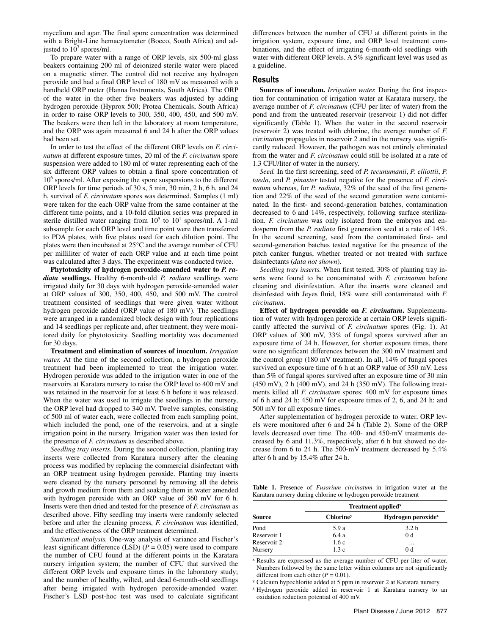mycelium and agar. The final spore concentration was determined with a Bright-Line hemacytometer (Boeco, South Africa) and adjusted to  $10^7$  spores/ml.

To prepare water with a range of ORP levels, six 500-ml glass beakers containing 200 ml of deionized sterile water were placed on a magnetic stirrer. The control did not receive any hydrogen peroxide and had a final ORP level of 180 mV as measured with a handheld ORP meter (Hanna Instruments, South Africa). The ORP of the water in the other five beakers was adjusted by adding hydrogen peroxide (Hyprox 500; Protea Chemicals, South Africa) in order to raise ORP levels to 300, 350, 400, 450, and 500 mV. The beakers were then left in the laboratory at room temperature, and the ORP was again measured 6 and 24 h after the ORP values had been set.

In order to test the effect of the different ORP levels on *F. circinatum* at different exposure times, 20 ml of the *F. circinatum* spore suspension were added to 180 ml of water representing each of the six different ORP values to obtain a final spore concentration of 106 spores/ml. After exposing the spore suspensions to the different ORP levels for time periods of 30 s, 5 min, 30 min, 2 h, 6 h, and 24 h, survival of *F. circinatum* spores was determined. Samples (1 ml) were taken for the each ORP value from the same container at the different time points, and a 10-fold dilution series was prepared in sterile distilled water ranging from  $10^5$  to  $10^1$  spores/ml. A 1-ml subsample for each ORP level and time point were then transferred to PDA plates, with five plates used for each dilution point. The plates were then incubated at 25°C and the average number of CFU per milliliter of water of each ORP value and at each time point was calculated after 3 days. The experiment was conducted twice.

**Phytotoxicity of hydrogen peroxide-amended water to** *P. radiata* **seedlings.** Healthy 6-month-old *P. radiata* seedlings were irrigated daily for 30 days with hydrogen peroxide-amended water at ORP values of 300, 350, 400, 450, and 500 mV. The control treatment consisted of seedlings that were given water without hydrogen peroxide added (ORP value of 180 mV). The seedlings were arranged in a randomized block design with four replications and 14 seedlings per replicate and, after treatment, they were monitored daily for phytotoxicity. Seedling mortality was documented for 30 days.

**Treatment and elimination of sources of inoculum.** *Irrigation water.* At the time of the second collection, a hydrogen peroxide treatment had been implemented to treat the irrigation water. Hydrogen peroxide was added to the irrigation water in one of the reservoirs at Karatara nursery to raise the ORP level to 400 mV and was retained in the reservoir for at least 6 h before it was released. When the water was used to irrigate the seedlings in the nursery, the ORP level had dropped to 340 mV. Twelve samples, consisting of 500 ml of water each, were collected from each sampling point, which included the pond, one of the reservoirs, and at a single irrigation point in the nursery. Irrigation water was then tested for the presence of *F. circinatum* as described above.

*Seedling tray inserts.* During the second collection, planting tray inserts were collected from Karatara nursery after the cleaning process was modified by replacing the commercial disinfectant with an ORP treatment using hydrogen peroxide. Planting tray inserts were cleaned by the nursery personnel by removing all the debris and growth medium from them and soaking them in water amended with hydrogen peroxide with an ORP value of 360 mV for 6 h. Inserts were then dried and tested for the presence of *F. circinatum* as described above. Fifty seedling tray inserts were randomly selected before and after the cleaning process, *F. circinatum* was identified, and the effectiveness of the ORP treatment determined.

*Statistical analysis.* One-way analysis of variance and Fischer's least significant difference (LSD)  $(P = 0.05)$  were used to compare the number of CFU found at the different points in the Karatara nursery irrigation system; the number of CFU that survived the different ORP levels and exposure times in the laboratory study; and the number of healthy, wilted, and dead 6-month-old seedlings after being irrigated with hydrogen peroxide-amended water. Fischer's LSD post-hoc test was used to calculate significant differences between the number of CFU at different points in the irrigation system, exposure time, and ORP level treatment combinations, and the effect of irrigating 6-month-old seedlings with water with different ORP levels. A 5% significant level was used as a guideline.

### **Results**

**Sources of inoculum.** *Irrigation water.* During the first inspection for contamination of irrigation water at Karatara nursery, the average number of *F. circinatum* (CFU per liter of water) from the pond and from the untreated reservoir (reservoir 1) did not differ significantly (Table 1). When the water in the second reservoir (reservoir 2) was treated with chlorine, the average number of *F. circinatum* propagules in reservoir 2 and in the nursery was significantly reduced. However, the pathogen was not entirely eliminated from the water and *F. circinatum* could still be isolated at a rate of 1.3 CFU/liter of water in the nursery.

*Seed.* In the first screening, seed of *P. tecunumanii*, *P. elliottii*, *P. taeda*, and *P. pinaster* tested negative for the presence of *F. circinatum* whereas, for *P. radiata*, 32% of the seed of the first generation and 22% of the seed of the second generation were contaminated*.* In the first- and second-generation batches, contamination decreased to 6 and 14%, respectively, following surface sterilization. *F. circinatum* was only isolated from the embryos and endosperm from the *P. radiata* first generation seed at a rate of 14%. In the second screening, seed from the contaminated first- and second-generation batches tested negative for the presence of the pitch canker fungus, whether treated or not treated with surface disinfectants (*data not shown*).

*Seedling tray inserts.* When first tested, 30% of planting tray inserts were found to be contaminated with *F. circinatum* before cleaning and disinfestation. After the inserts were cleaned and disinfested with Jeyes fluid, 18% were still contaminated with *F. circinatum*.

**Effect of hydrogen peroxide on** *F. circinatum***.** Supplementation of water with hydrogen peroxide at certain ORP levels significantly affected the survival of *F. circinatum* spores (Fig. 1). At ORP values of 300 mV, 33% of fungal spores survived after an exposure time of 24 h. However, for shorter exposure times, there were no significant differences between the 300 mV treatment and the control group (180 mV treatment). In all, 14% of fungal spores survived an exposure time of 6 h at an ORP value of 350 mV. Less than 5% of fungal spores survived after an exposure time of 30 min  $(450 \text{ mV})$ , 2 h  $(400 \text{ mV})$ , and 24 h  $(350 \text{ mV})$ . The following treatments killed all *F. circinatum* spores: 400 mV for exposure times of 6 h and 24 h; 450 mV for exposure times of 2, 6, and 24 h; and 500 mV for all exposure times.

After supplementation of hydrogen peroxide to water, ORP levels were monitored after 6 and 24 h (Table 2). Some of the ORP levels decreased over time. The 400- and 450-mV treatments decreased by 6 and 11.3%, respectively, after 6 h but showed no decrease from 6 to 24 h. The 500-mV treatment decreased by 5.4% after 6 h and by 15.4% after 24 h.

**Table 1.** Presence of *Fusarium circinatum* in irrigation water at the Karatara nursery during chlorine or hydrogen peroxide treatment

|             | Treatment applied <sup>x</sup> |                                |  |
|-------------|--------------------------------|--------------------------------|--|
| Source      | <b>Chlorine</b> <sup>y</sup>   | Hydrogen peroxide <sup>z</sup> |  |
| Pond        | 5.9 a                          | 3.2 <sub>b</sub>               |  |
| Reservoir 1 | 6.4a                           | 0 <sub>d</sub>                 |  |
| Reservoir 2 | 1.6c                           | $\cdots$                       |  |
| Nursery     | 1.3c                           | 0 d                            |  |

<sup>x</sup> Results are expressed as the average number of CFU per liter of water. Numbers followed by the same letter within columns are not significantly different from each other ( $P = 0.01$ ).

<sup>*y*</sup> Calcium hypochlorite added at 5 ppm in reservoir 2 at Karatara nursery.

<sup>z</sup> Hydrogen peroxide added in reservoir 1 at Karatara nursery to an oxidation reduction potential of 400 mV.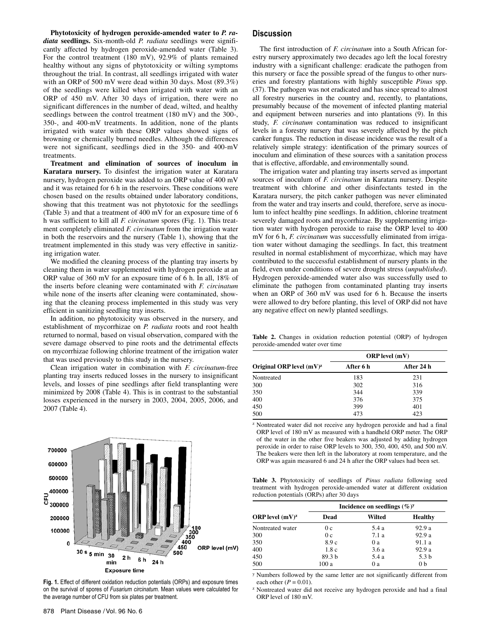**Phytotoxicity of hydrogen peroxide-amended water to** *P. radiata* **seedlings.** Six-month-old *P. radiata* seedlings were significantly affected by hydrogen peroxide-amended water (Table 3). For the control treatment (180 mV), 92.9% of plants remained healthy without any signs of phytotoxicity or wilting symptoms throughout the trial. In contrast, all seedlings irrigated with water with an ORP of 500 mV were dead within 30 days. Most (89.3%) of the seedlings were killed when irrigated with water with an ORP of 450 mV. After 30 days of irrigation, there were no significant differences in the number of dead, wilted, and healthy seedlings between the control treatment (180 mV) and the 300-, 350-, and 400-mV treatments. In addition, none of the plants irrigated with water with these ORP values showed signs of browning or chemically burned needles. Although the differences were not significant, seedlings died in the 350- and 400-mV treatments.

**Treatment and elimination of sources of inoculum in Karatara nursery.** To disinfest the irrigation water at Karatara nursery, hydrogen peroxide was added to an ORP value of 400 mV and it was retained for 6 h in the reservoirs. These conditions were chosen based on the results obtained under laboratory conditions, showing that this treatment was not phytotoxic for the seedlings (Table 3) and that a treatment of 400 mV for an exposure time of 6 h was sufficient to kill all *F. circinatum* spores (Fig. 1). This treatment completely eliminated *F. circinatum* from the irrigation water in both the reservoirs and the nursery (Table 1), showing that the treatment implemented in this study was very effective in sanitizing irrigation water.

We modified the cleaning process of the planting tray inserts by cleaning them in water supplemented with hydrogen peroxide at an ORP value of 360 mV for an exposure time of 6 h. In all, 18% of the inserts before cleaning were contaminated with *F. circinatum* while none of the inserts after cleaning were contaminated, showing that the cleaning process implemented in this study was very efficient in sanitizing seedling tray inserts.

In addition, no phytotoxicity was observed in the nursery, and establishment of mycorrhizae on *P. radiata* roots and root health returned to normal, based on visual observation, compared with the severe damage observed to pine roots and the detrimental effects on mycorrhizae following chlorine treatment of the irrigation water that was used previously to this study in the nursery.

Clean irrigation water in combination with *F. circinatum*-free planting tray inserts reduced losses in the nursery to insignificant levels, and losses of pine seedlings after field transplanting were minimized by 2008 (Table 4). This is in contrast to the substantial losses experienced in the nursery in 2003, 2004, 2005, 2006, and 2007 (Table 4).



**Fig. 1.** Effect of different oxidation reduction potentials (ORPs) and exposure times on the survival of spores of *Fusarium circinatum*. Mean values were calculated for the average number of CFU from six plates per treatment.

The first introduction of *F. circinatum* into a South African forestry nursery approximately two decades ago left the local forestry industry with a significant challenge: eradicate the pathogen from this nursery or face the possible spread of the fungus to other nurseries and forestry plantations with highly susceptible *Pinus* spp. (37). The pathogen was not eradicated and has since spread to almost all forestry nurseries in the country and, recently, to plantations, presumably because of the movement of infected planting material and equipment between nurseries and into plantations (9). In this study, *F. circinatum* contamination was reduced to insignificant levels in a forestry nursery that was severely affected by the pitch canker fungus. The reduction in disease incidence was the result of a relatively simple strategy: identification of the primary sources of inoculum and elimination of these sources with a sanitation process that is effective, affordable, and environmentally sound.

The irrigation water and planting tray inserts served as important sources of inoculum of *F. circinatum* in Karatara nursery. Despite treatment with chlorine and other disinfectants tested in the Karatara nursery, the pitch canker pathogen was never eliminated from the water and tray inserts and could, therefore, serve as inoculum to infect healthy pine seedlings. In addition, chlorine treatment severely damaged roots and mycorrhizae. By supplementing irrigation water with hydrogen peroxide to raise the ORP level to 400 mV for 6 h, *F. circinatum* was successfully eliminated from irrigation water without damaging the seedlings. In fact, this treatment resulted in normal establishment of mycorrhizae, which may have contributed to the successful establishment of nursery plants in the field, even under conditions of severe drought stress (*unpublished*). Hydrogen peroxide-amended water also was successfully used to eliminate the pathogen from contaminated planting tray inserts when an ORP of 360 mV was used for 6 h. Because the inserts were allowed to dry before planting, this level of ORP did not have any negative effect on newly planted seedlings.

Table 2. Changes in oxidation reduction potential (ORP) of hydrogen peroxide-amended water over time

|                            | <b>ORP</b> level (mV) |            |  |
|----------------------------|-----------------------|------------|--|
| Original ORP level $(mV)z$ | After 6 h             | After 24 h |  |
| Nontreated                 | 183                   | 231        |  |
| 300                        | 302                   | 316        |  |
| 350                        | 344                   | 339        |  |
| 400                        | 376                   | 375        |  |
| 450                        | 399                   | 401        |  |
| 500                        | 473                   | 423        |  |

<sup>z</sup> Nontreated water did not receive any hydrogen peroxide and had a final ORP level of 180 mV as measured with a handheld ORP meter. The ORP of the water in the other five beakers was adjusted by adding hydrogen peroxide in order to raise ORP levels to 300, 350, 400, 450, and 500 mV. The beakers were then left in the laboratory at room temperature, and the ORP was again measured 6 and 24 h after the ORP values had been set.

**Table 3.** Phytotoxicity of seedlings of *Pinus radiata* following seed treatment with hydrogen peroxide-amended water at different oxidation reduction potentials (ORPs) after 30 days

|                   | Incidence on seedlings $(\%)^y$ |        |                  |  |
|-------------------|---------------------------------|--------|------------------|--|
| ORP level $(mV)z$ | Dead                            | Wilted | <b>Healthy</b>   |  |
| Nontreated water  | 0c                              | 5.4 a  | 92.9a            |  |
| 300               | 0 <sub>c</sub>                  | 7.1a   | 92.9a            |  |
| 350               | 8.9c                            | 0a     | 91.1 a           |  |
| 400               | 1.8c                            | 3.6a   | 92.9a            |  |
| 450               | 89.3 <sub>b</sub>               | 5.4 a  | 5.3 <sub>b</sub> |  |
| 500               | 100 a                           | 0a     | 0 <sub>b</sub>   |  |

<sup>y</sup> Numbers followed by the same letter are not significantly different from

each other ( $P = 0.01$ ).<br><sup>z</sup> Nontreated water did not receive any hydrogen peroxide and had a final ORP level of 180 mV.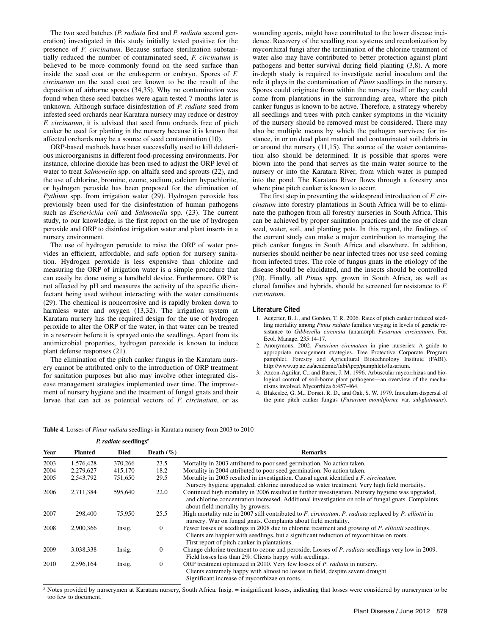The two seed batches (*P. radiata* first and *P. radiata* second generation) investigated in this study initially tested positive for the presence of *F. circinatum*. Because surface sterilization substantially reduced the number of contaminated seed, *F. circinatum* is believed to be more commonly found on the seed surface than inside the seed coat or the endosperm or embryo. Spores of *F. circinatum* on the seed coat are known to be the result of the deposition of airborne spores (34,35). Why no contamination was found when these seed batches were again tested 7 months later is unknown. Although surface disinfestation of *P. radiata* seed from infested seed orchards near Karatara nursery may reduce or destroy *F. circinatum*, it is advised that seed from orchards free of pitch canker be used for planting in the nursery because it is known that affected orchards may be a source of seed contamination (10).

ORP-based methods have been successfully used to kill deleterious microorganisms in different food-processing environments. For instance, chlorine dioxide has been used to adjust the ORP level of water to treat *Salmonella* spp. on alfalfa seed and sprouts (22), and the use of chlorine, bromine, ozone, sodium, calcium hypochlorite, or hydrogen peroxide has been proposed for the elimination of *Pythium* spp. from irrigation water (29). Hydrogen peroxide has previously been used for the disinfestation of human pathogens such as *Escherichia coli* and *Salmonella* spp. (23). The current study, to our knowledge, is the first report on the use of hydrogen peroxide and ORP to disinfest irrigation water and plant inserts in a nursery environment.

The use of hydrogen peroxide to raise the ORP of water provides an efficient, affordable, and safe option for nursery sanitation. Hydrogen peroxide is less expensive than chlorine and measuring the ORP of irrigation water is a simple procedure that can easily be done using a handheld device. Furthermore, ORP is not affected by pH and measures the activity of the specific disinfectant being used without interacting with the water constituents (29). The chemical is noncorrosive and is rapidly broken down to harmless water and oxygen (13,32). The irrigation system at Karatara nursery has the required design for the use of hydrogen peroxide to alter the ORP of the water, in that water can be treated in a reservoir before it is sprayed onto the seedlings. Apart from its antimicrobial properties, hydrogen peroxide is known to induce plant defense responses (21).

The elimination of the pitch canker fungus in the Karatara nursery cannot be attributed only to the introduction of ORP treatment for sanitation purposes but also may involve other integrated disease management strategies implemented over time. The improvement of nursery hygiene and the treatment of fungal gnats and their larvae that can act as potential vectors of *F. circinatum*, or as

wounding agents, might have contributed to the lower disease incidence. Recovery of the seedling root systems and recolonization by mycorrhizal fungi after the termination of the chlorine treatment of water also may have contributed to better protection against plant pathogens and better survival during field planting (3,8). A more in-depth study is required to investigate aerial inoculum and the role it plays in the contamination of *Pinus* seedlings in the nursery. Spores could originate from within the nursery itself or they could come from plantations in the surrounding area, where the pitch canker fungus is known to be active. Therefore, a strategy whereby all seedlings and trees with pitch canker symptoms in the vicinity of the nursery should be removed must be considered. There may also be multiple means by which the pathogen survives; for instance, in or on dead plant material and contaminated soil debris in or around the nursery (11,15). The source of the water contamination also should be determined. It is possible that spores were blown into the pond that serves as the main water source to the nursery or into the Karatara River, from which water is pumped into the pond. The Karatara River flows through a forestry area where pine pitch canker is known to occur.

The first step in preventing the widespread introduction of *F. circinatum* into forestry plantations in South Africa will be to eliminate the pathogen from all forestry nurseries in South Africa. This can be achieved by proper sanitation practices and the use of clean seed, water, soil, and planting pots. In this regard, the findings of the current study can make a major contribution to managing the pitch canker fungus in South Africa and elsewhere. In addition, nurseries should neither be near infected trees nor use seed coming from infected trees. The role of fungus gnats in the etiology of the disease should be elucidated, and the insects should be controlled (20). Finally, all *Pinus* spp. grown in South Africa, as well as clonal families and hybrids, should be screened for resistance to *F. circinatum*.

### **Literature Cited**

- 1. Aegerter, B. J., and Gordon, T. R. 2006. Rates of pitch canker induced seedling mortality among *Pinus radiata* families varying in levels of genetic resistance to *Gibberella circinata* (anamorph *Fusarium circinatum*). For. Ecol. Manage. 235:14-17.
- 2. Anonymous, 2002. *Fusarium circinatum* in pine nurseries: A guide to appropriate management strategies. Tree Protective Corporate Program pamphlet. Forestry and Agricultural Biotechnology Institute (FABI). http://www.up.ac.za/academic/fabi/tpcp/pamphlets/fusarium.
- 3. Azcon-Aguilar, C., and Barea, J. M. 1996. Arbuscular mycorrhizas and biological control of soil-borne plant pathogens—an overview of the mechanisms involved. Mycorrhiza 6:457-464.
- 4. Blakeslee, G. M., Dorset, R. D., and Oak, S. W. 1979. Inoculum dispersal of the pine pitch canker fungus (*Fusarium moniliforme* var. *subglutinans*).

**Table 4.** Losses of *Pinus radiata* seedlings in Karatara nursery from 2003 to 2010

|      | P. radiate seedlings <sup>z</sup> |             |                |                                                                                                                                                                                                                                                |
|------|-----------------------------------|-------------|----------------|------------------------------------------------------------------------------------------------------------------------------------------------------------------------------------------------------------------------------------------------|
| Year | <b>Planted</b>                    | <b>Died</b> | Death $(\% )$  | <b>Remarks</b>                                                                                                                                                                                                                                 |
| 2003 | 1.576.428                         | 370,266     | 23.5           | Mortality in 2003 attributed to poor seed germination. No action taken.                                                                                                                                                                        |
| 2004 | 2,279,627                         | 415,170     | 18.2           | Mortality in 2004 attributed to poor seed germination. No action taken.                                                                                                                                                                        |
| 2005 | 2,543,792                         | 751,650     | 29.5           | Mortality in 2005 resulted in investigation. Causal agent identified a <i>F. circinatum</i> .<br>Nursery hygiene upgraded; chlorine introduced as water treatment. Very high field mortality.                                                  |
| 2006 | 2,711,384                         | 595,640     | 22.0           | Continued high mortality in 2006 resulted in further investigation. Nursery hygiene was upgraded,<br>and chlorine concentration increased. Additional investigation on role of fungal gnats. Complaints<br>about field mortality by growers.   |
| 2007 | 298,400                           | 75,950      | 25.5           | High mortality rate in 2007 still contributed to F. circinatum. P. radiata replaced by P. elliottii in<br>nursery. War on fungal gnats. Complaints about field mortality.                                                                      |
| 2008 | 2,900,366                         | Insig.      | $\overline{0}$ | Fewer losses of seedlings in 2008 due to chlorine treatment and growing of P. elliottii seedlings.<br>Clients are happier with seedlings, but a significant reduction of mycorrhizae on roots.<br>First report of pitch canker in plantations. |
| 2009 | 3,038,338                         | Insig.      | $\theta$       | Change chlorine treatment to ozone and peroxide. Losses of P. radiata seedlings very low in 2009.<br>Field losses less than 2%. Clients happy with seedlings.                                                                                  |
| 2010 | 2,596,164                         | Insig.      | $\mathbf{0}$   | ORP treatment optimized in 2010. Very few losses of P. radiata in nursery.<br>Clients extremely happy with almost no losses in field, despite severe drought.<br>Significant increase of mycorrhizae on roots.                                 |

<sup>z</sup> Notes provided by nurserymen at Karatara nursery, South Africa. Insig. = insignificant losses, indicating that losses were considered by nurserymen to be too few to document.